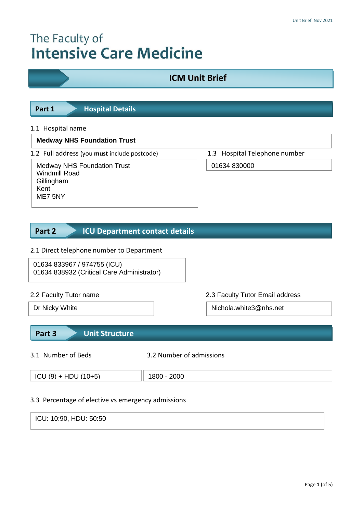# The Faculty of **Intensive Care Medicine**

## **ICM Unit Brief**



#### 1.1 Hospital name

#### **Medway NHS Foundation Trust**

1.2 Full address (you **must** include postcode) 1.3 Hospital Telephone number

Medway NHS Foundation Trust Windmill Road **Gillingham** Kent ME7 5NY

01634 830000

#### **ICU Department contact details Part 2**

#### 2.1 Direct telephone number to Department

01634 833967 / 974755 (ICU) 01634 838932 (Critical Care Administrator)

2.2 Faculty Tutor name 2.3 Faculty Tutor Email address

Dr Nicky White Nichola.white3@nhs.net

### **Part 3 Unit Structure**

3.1 Number of Beds 3.2 Number of admissions

| $\left(10\right)$ (9) + HDU (10+5) | 2000 |
|------------------------------------|------|
|                                    |      |
|                                    |      |
|                                    |      |

#### 3.3 Percentage of elective vs emergency admissions

ICU: 10:90, HDU: 50:50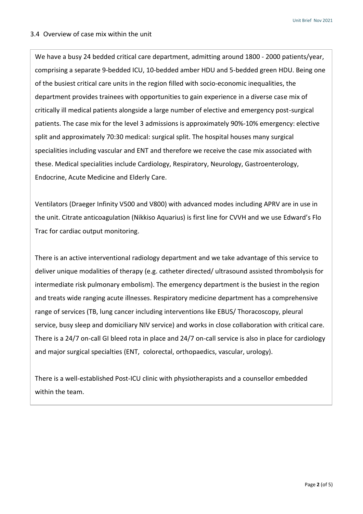#### 3.4 Overview of case mix within the unit

of the busiest critical care units in the region filled with socio-economic inequalities, the We have a busy 24 bedded critical care department, admitting around 1800 - 2000 patients/year, comprising a separate 9-bedded ICU, 10-bedded amber HDU and 5-bedded green HDU. Being one department provides trainees with opportunities to gain experience in a diverse case mix of critically ill medical patients alongside a large number of elective and emergency post-surgical patients. The case mix for the level 3 admissions is approximately 90%-10% emergency: elective split and approximately 70:30 medical: surgical split. The hospital houses many surgical specialities including vascular and ENT and therefore we receive the case mix associated with these. Medical specialities include Cardiology, Respiratory, Neurology, Gastroenterology, Endocrine, Acute Medicine and Elderly Care.

Ventilators (Draeger Infinity V500 and V800) with advanced modes including APRV are in use in the unit. Citrate anticoagulation (Nikkiso Aquarius) is first line for CVVH and we use Edward's Flo Trac for cardiac output monitoring.

There is an active interventional radiology department and we take advantage of this service to deliver unique modalities of therapy (e.g. catheter directed/ ultrasound assisted thrombolysis for intermediate risk pulmonary embolism). The emergency department is the busiest in the region and treats wide ranging acute illnesses. Respiratory medicine department has a comprehensive range of services (TB, lung cancer including interventions like EBUS/ Thoracoscopy, pleural service, busy sleep and domiciliary NIV service) and works in close collaboration with critical care. There is a 24/7 on-call GI bleed rota in place and 24/7 on-call service is also in place for cardiology and major surgical specialties (ENT, colorectal, orthopaedics, vascular, urology).

There is a well-established Post-ICU clinic with physiotherapists and a counsellor embedded within the team.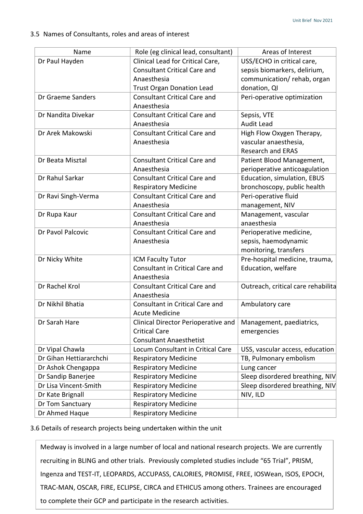#### 3.5 Names of Consultants, roles and areas of interest

| Name                    | Role (eg clinical lead, consultant)                                                                                        | Areas of Interest                                                                                        |
|-------------------------|----------------------------------------------------------------------------------------------------------------------------|----------------------------------------------------------------------------------------------------------|
| Dr Paul Hayden          | Clinical Lead for Critical Care,<br><b>Consultant Critical Care and</b><br>Anaesthesia<br><b>Trust Organ Donation Lead</b> | USS/ECHO in critical care,<br>sepsis biomarkers, delirium,<br>communication/rehab, organ<br>donation, QI |
| Dr Graeme Sanders       | <b>Consultant Critical Care and</b><br>Anaesthesia                                                                         | Peri-operative optimization                                                                              |
| Dr Nandita Divekar      | <b>Consultant Critical Care and</b><br>Anaesthesia                                                                         | Sepsis, VTE<br><b>Audit Lead</b>                                                                         |
| Dr Arek Makowski        | <b>Consultant Critical Care and</b><br>Anaesthesia                                                                         | High Flow Oxygen Therapy,<br>vascular anaesthesia,<br><b>Research and ERAS</b>                           |
| Dr Beata Misztal        | <b>Consultant Critical Care and</b><br>Anaesthesia                                                                         | Patient Blood Management,<br>perioperative anticoagulation                                               |
| Dr Rahul Sarkar         | <b>Consultant Critical Care and</b><br><b>Respiratory Medicine</b>                                                         | Education, simulation, EBUS<br>bronchoscopy, public health                                               |
| Dr Ravi Singh-Verma     | <b>Consultant Critical Care and</b><br>Anaesthesia                                                                         | Peri-operative fluid<br>management, NIV                                                                  |
| Dr Rupa Kaur            | <b>Consultant Critical Care and</b><br>Anaesthesia                                                                         | Management, vascular<br>anaesthesia                                                                      |
| Dr Pavol Palcovic       | <b>Consultant Critical Care and</b><br>Anaesthesia                                                                         | Perioperative medicine,<br>sepsis, haemodynamic<br>monitoring, transfers                                 |
| Dr Nicky White          | ICM Faculty Tutor<br>Consultant in Critical Care and<br>Anaesthesia                                                        | Pre-hospital medicine, trauma,<br>Education, welfare                                                     |
| Dr Rachel Krol          | <b>Consultant Critical Care and</b><br>Anaesthesia                                                                         | Outreach, critical care rehabilita                                                                       |
| Dr Nikhil Bhatia        | Consultant in Critical Care and<br><b>Acute Medicine</b>                                                                   | Ambulatory care                                                                                          |
| Dr Sarah Hare           | Clinical Director Perioperative and<br><b>Critical Care</b><br><b>Consultant Anaesthetist</b>                              | Management, paediatrics,<br>emergencies                                                                  |
| Dr Vipal Chawla         | Locum Consultant in Critical Care                                                                                          | USS, vascular access, education                                                                          |
| Dr Gihan Hettiararchchi | <b>Respiratory Medicine</b>                                                                                                | TB, Pulmonary embolism                                                                                   |
| Dr Ashok Chengappa      | <b>Respiratory Medicine</b>                                                                                                | Lung cancer                                                                                              |
| Dr Sandip Banerjee      | <b>Respiratory Medicine</b>                                                                                                | Sleep disordered breathing, NIV                                                                          |
| Dr Lisa Vincent-Smith   | <b>Respiratory Medicine</b>                                                                                                | Sleep disordered breathing, NIV                                                                          |
| Dr Kate Brignall        | <b>Respiratory Medicine</b>                                                                                                | NIV, ILD                                                                                                 |
| Dr Tom Sanctuary        | <b>Respiratory Medicine</b>                                                                                                |                                                                                                          |
| Dr Ahmed Haque          | <b>Respiratory Medicine</b>                                                                                                |                                                                                                          |

#### 3.6 Details of research projects being undertaken within the unit

TRAC-MAN, OSCAR, FIRE, ECLIPSE, CIRCA and ETHICUS among others. Trainees are encouraged Medway is involved in a large number of local and national research projects. We are currently recruiting in BLING and other trials. Previously completed studies include "65 Trial", PRISM, Ingenza and TEST-IT, LEOPARDS, ACCUPASS, CALORIES, PROMISE, FREE, IOSWean, ISOS, EPOCH, to complete their GCP and participate in the research activities.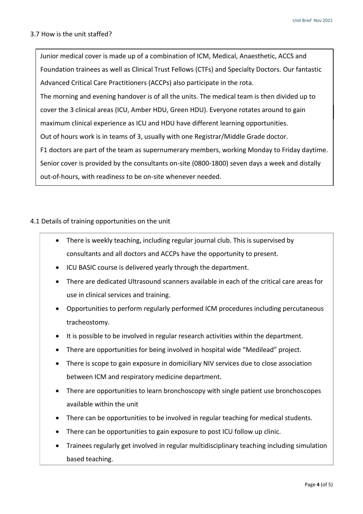#### 3.7 How is the unit staffed?

**Part 4 Training**  cover the 3 clinical areas (ICU, Amber HDU, Green HDU). Everyone rotates around to gain Junior medical cover is made up of a combination of ICM, Medical, Anaesthetic, ACCS and Foundation trainees as well as Clinical Trust Fellows (CTFs) and Specialty Doctors. Our fantastic Advanced Critical Care Practitioners (ACCPs) also participate in the rota. The morning and evening handover is of all the units. The medical team is then divided up to maximum clinical experience as ICU and HDU have different learning opportunities. Out of hours work is in teams of 3, usually with one Registrar/Middle Grade doctor. F1 doctors are part of the team as supernumerary members, working Monday to Friday daytime. Senior cover is provided by the consultants on-site (0800-1800) seven days a week and distally out-of-hours, with readiness to be on-site whenever needed.

#### 4.1 Details of training opportunities on the unit

- There is weekly teaching, including regular journal club. This is supervised by consultants and all doctors and ACCPs have the opportunity to present.
- ICU BASIC course is delivered yearly through the department.
- There are dedicated Ultrasound scanners available in each of the critical care areas for use in clinical services and training.
- Opportunities to perform regularly performed ICM procedures including percutaneous tracheostomy.
- It is possible to be involved in regular research activities within the department.
- There are opportunities for being involved in hospital wide "Medilead" project.
- There is scope to gain exposure in domiciliary NIV services due to close association between ICM and respiratory medicine department.
- There are opportunities to learn bronchoscopy with single patient use bronchoscopes available within the unit
- There can be opportunities to be involved in regular teaching for medical students.
- There can be opportunities to gain exposure to post ICU follow up clinic.
- Trainees regularly get involved in regular multidisciplinary teaching including simulation based teaching.